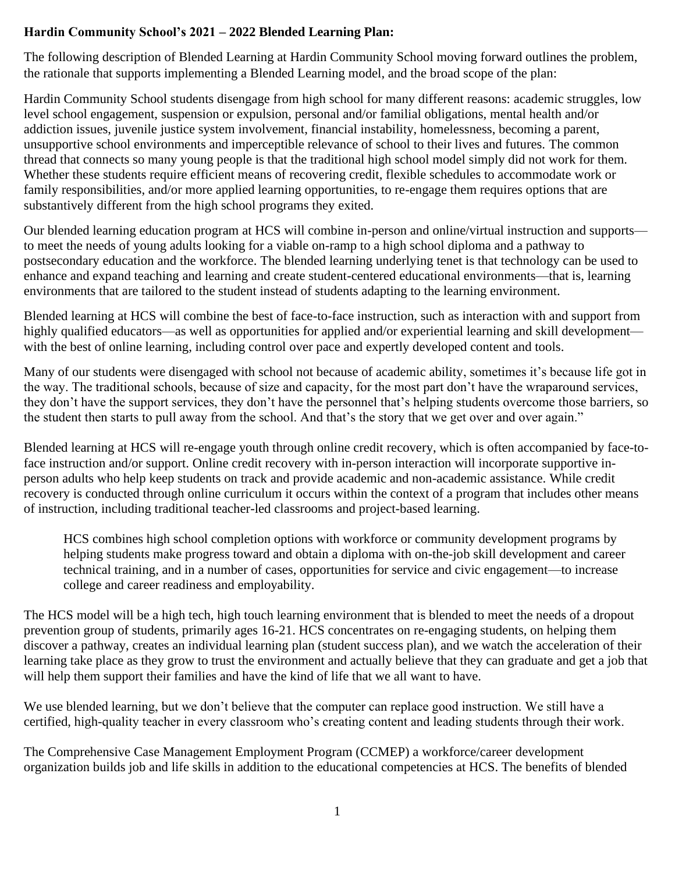### **Hardin Community School's 2021 – 2022 Blended Learning Plan:**

The following description of Blended Learning at Hardin Community School moving forward outlines the problem, the rationale that supports implementing a Blended Learning model, and the broad scope of the plan:

Hardin Community School students disengage from high school for many different reasons: academic struggles, low level school engagement, suspension or expulsion, personal and/or familial obligations, mental health and/or addiction issues, juvenile justice system involvement, financial instability, homelessness, becoming a parent, unsupportive school environments and imperceptible relevance of school to their lives and futures. The common thread that connects so many young people is that the traditional high school model simply did not work for them. Whether these students require efficient means of recovering credit, flexible schedules to accommodate work or family responsibilities, and/or more applied learning opportunities, to re-engage them requires options that are substantively different from the high school programs they exited.

Our blended learning education program at HCS will combine in-person and online/virtual instruction and supports to meet the needs of young adults looking for a viable on-ramp to a high school diploma and a pathway to postsecondary education and the workforce. The blended learning underlying tenet is that technology can be used to enhance and expand teaching and learning and create student-centered educational environments—that is, learning environments that are tailored to the student instead of students adapting to the learning environment.

Blended learning at HCS will combine the best of face-to-face instruction, such as interaction with and support from highly qualified educators—as well as opportunities for applied and/or experiential learning and skill development with the best of online learning, including control over pace and expertly developed content and tools.

Many of our students were disengaged with school not because of academic ability, sometimes it's because life got in the way. The traditional schools, because of size and capacity, for the most part don't have the wraparound services, they don't have the support services, they don't have the personnel that's helping students overcome those barriers, so the student then starts to pull away from the school. And that's the story that we get over and over again."

Blended learning at HCS will re-engage youth through online credit recovery, which is often accompanied by face-toface instruction and/or support. Online credit recovery with in-person interaction will incorporate supportive inperson adults who help keep students on track and provide academic and non-academic assistance. While credit recovery is conducted through online curriculum it occurs within the context of a program that includes other means of instruction, including traditional teacher-led classrooms and project-based learning.

HCS combines high school completion options with workforce or community development programs by helping students make progress toward and obtain a diploma with on-the-job skill development and career technical training, and in a number of cases, opportunities for service and civic engagement—to increase college and career readiness and employability.

The HCS model will be a high tech, high touch learning environment that is blended to meet the needs of a dropout prevention group of students, primarily ages 16-21. HCS concentrates on re-engaging students, on helping them discover a pathway, creates an individual learning plan (student success plan), and we watch the acceleration of their learning take place as they grow to trust the environment and actually believe that they can graduate and get a job that will help them support their families and have the kind of life that we all want to have.

We use blended learning, but we don't believe that the computer can replace good instruction. We still have a certified, high-quality teacher in every classroom who's creating content and leading students through their work.

The Comprehensive Case Management Employment Program (CCMEP) a workforce/career development organization builds job and life skills in addition to the educational competencies at HCS. The benefits of blended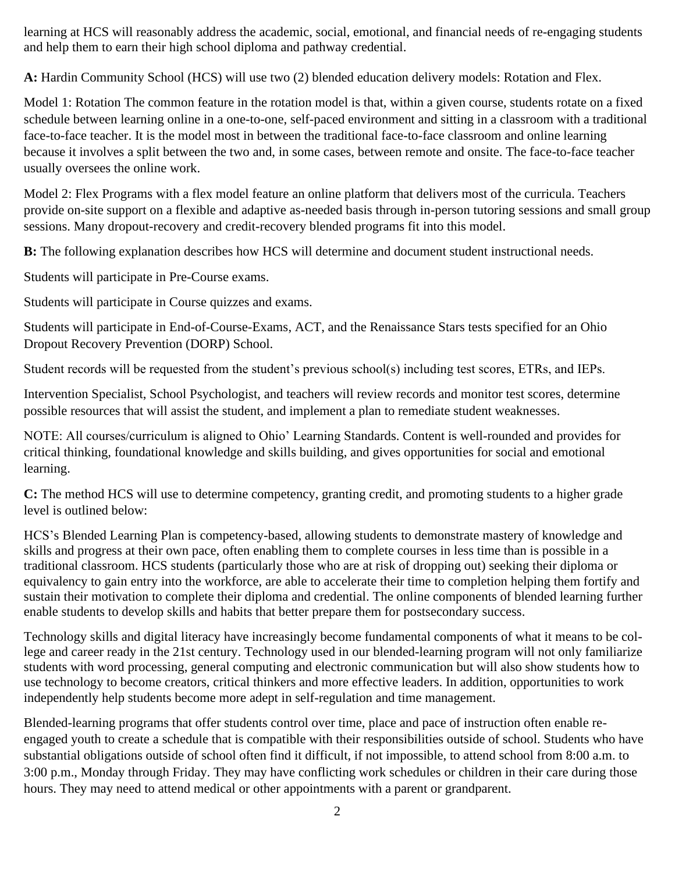learning at HCS will reasonably address the academic, social, emotional, and financial needs of re-engaging students and help them to earn their high school diploma and pathway credential.

**A:** Hardin Community School (HCS) will use two (2) blended education delivery models: Rotation and Flex.

Model 1: Rotation The common feature in the rotation model is that, within a given course, students rotate on a fixed schedule between learning online in a one-to-one, self-paced environment and sitting in a classroom with a traditional face-to-face teacher. It is the model most in between the traditional face-to-face classroom and online learning because it involves a split between the two and, in some cases, between remote and onsite. The face-to-face teacher usually oversees the online work.

Model 2: Flex Programs with a flex model feature an online platform that delivers most of the curricula. Teachers provide on-site support on a flexible and adaptive as-needed basis through in-person tutoring sessions and small group sessions. Many dropout-recovery and credit-recovery blended programs fit into this model.

**B:** The following explanation describes how HCS will determine and document student instructional needs.

Students will participate in Pre-Course exams.

Students will participate in Course quizzes and exams.

Students will participate in End-of-Course-Exams, ACT, and the Renaissance Stars tests specified for an Ohio Dropout Recovery Prevention (DORP) School.

Student records will be requested from the student's previous school(s) including test scores, ETRs, and IEPs.

Intervention Specialist, School Psychologist, and teachers will review records and monitor test scores, determine possible resources that will assist the student, and implement a plan to remediate student weaknesses.

NOTE: All courses/curriculum is aligned to Ohio' Learning Standards. Content is well-rounded and provides for critical thinking, foundational knowledge and skills building, and gives opportunities for social and emotional learning.

**C:** The method HCS will use to determine competency, granting credit, and promoting students to a higher grade level is outlined below:

HCS's Blended Learning Plan is competency-based, allowing students to demonstrate mastery of knowledge and skills and progress at their own pace, often enabling them to complete courses in less time than is possible in a traditional classroom. HCS students (particularly those who are at risk of dropping out) seeking their diploma or equivalency to gain entry into the workforce, are able to accelerate their time to completion helping them fortify and sustain their motivation to complete their diploma and credential. The online components of blended learning further enable students to develop skills and habits that better prepare them for postsecondary success.

Technology skills and digital literacy have increasingly become fundamental components of what it means to be college and career ready in the 21st century. Technology used in our blended-learning program will not only familiarize students with word processing, general computing and electronic communication but will also show students how to use technology to become creators, critical thinkers and more effective leaders. In addition, opportunities to work independently help students become more adept in self-regulation and time management.

Blended-learning programs that offer students control over time, place and pace of instruction often enable reengaged youth to create a schedule that is compatible with their responsibilities outside of school. Students who have substantial obligations outside of school often find it difficult, if not impossible, to attend school from 8:00 a.m. to 3:00 p.m., Monday through Friday. They may have conflicting work schedules or children in their care during those hours. They may need to attend medical or other appointments with a parent or grandparent.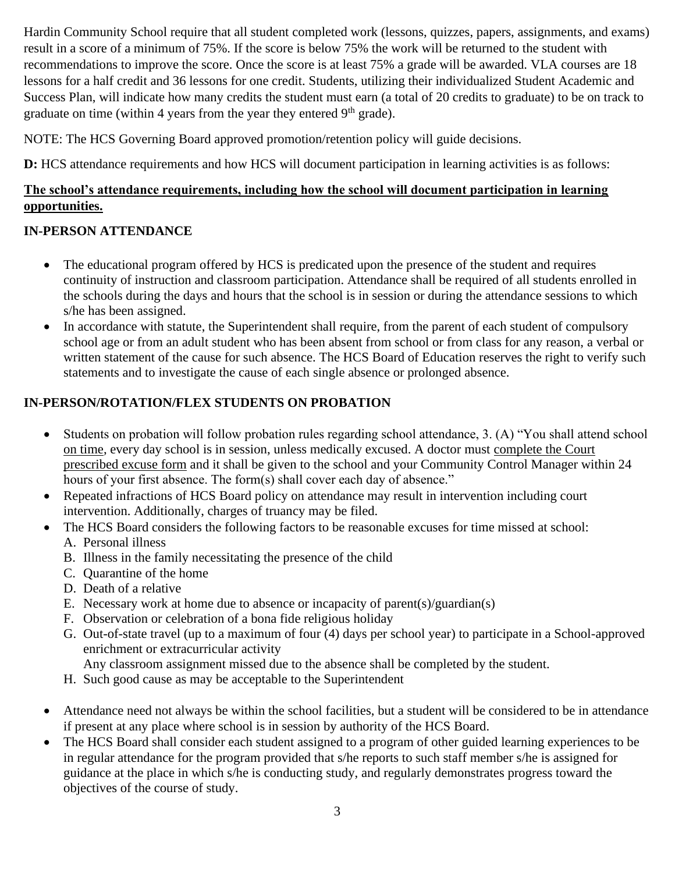Hardin Community School require that all student completed work (lessons, quizzes, papers, assignments, and exams) result in a score of a minimum of 75%. If the score is below 75% the work will be returned to the student with recommendations to improve the score. Once the score is at least 75% a grade will be awarded. VLA courses are 18 lessons for a half credit and 36 lessons for one credit. Students, utilizing their individualized Student Academic and Success Plan, will indicate how many credits the student must earn (a total of 20 credits to graduate) to be on track to graduate on time (within 4 years from the year they entered  $9<sup>th</sup>$  grade).

NOTE: The HCS Governing Board approved promotion/retention policy will guide decisions.

**D:** HCS attendance requirements and how HCS will document participation in learning activities is as follows:

### **The school's attendance requirements, including how the school will document participation in learning opportunities.**

# **IN-PERSON ATTENDANCE**

- The educational program offered by HCS is predicated upon the presence of the student and requires continuity of instruction and classroom participation. Attendance shall be required of all students enrolled in the schools during the days and hours that the school is in session or during the attendance sessions to which s/he has been assigned.
- In accordance with statute, the Superintendent shall require, from the parent of each student of compulsory school age or from an adult student who has been absent from school or from class for any reason, a verbal or written statement of the cause for such absence. The HCS Board of Education reserves the right to verify such statements and to investigate the cause of each single absence or prolonged absence.

# **IN-PERSON/ROTATION/FLEX STUDENTS ON PROBATION**

- Students on probation will follow probation rules regarding school attendance, 3. (A) "You shall attend school on time, every day school is in session, unless medically excused. A doctor must complete the Court prescribed excuse form and it shall be given to the school and your Community Control Manager within 24 hours of your first absence. The form(s) shall cover each day of absence."
- Repeated infractions of HCS Board policy on attendance may result in intervention including court intervention. Additionally, charges of truancy may be filed.
- The HCS Board considers the following factors to be reasonable excuses for time missed at school: A. Personal illness
	- B. Illness in the family necessitating the presence of the child
	- C. Quarantine of the home
	- D. Death of a relative
	- E. Necessary work at home due to absence or incapacity of parent(s)/guardian(s)
	- F. Observation or celebration of a bona fide religious holiday
	- G. Out-of-state travel (up to a maximum of four (4) days per school year) to participate in a School-approved enrichment or extracurricular activity
		- Any classroom assignment missed due to the absence shall be completed by the student.
	- H. Such good cause as may be acceptable to the Superintendent
- Attendance need not always be within the school facilities, but a student will be considered to be in attendance if present at any place where school is in session by authority of the HCS Board.
- The HCS Board shall consider each student assigned to a program of other guided learning experiences to be in regular attendance for the program provided that s/he reports to such staff member s/he is assigned for guidance at the place in which s/he is conducting study, and regularly demonstrates progress toward the objectives of the course of study.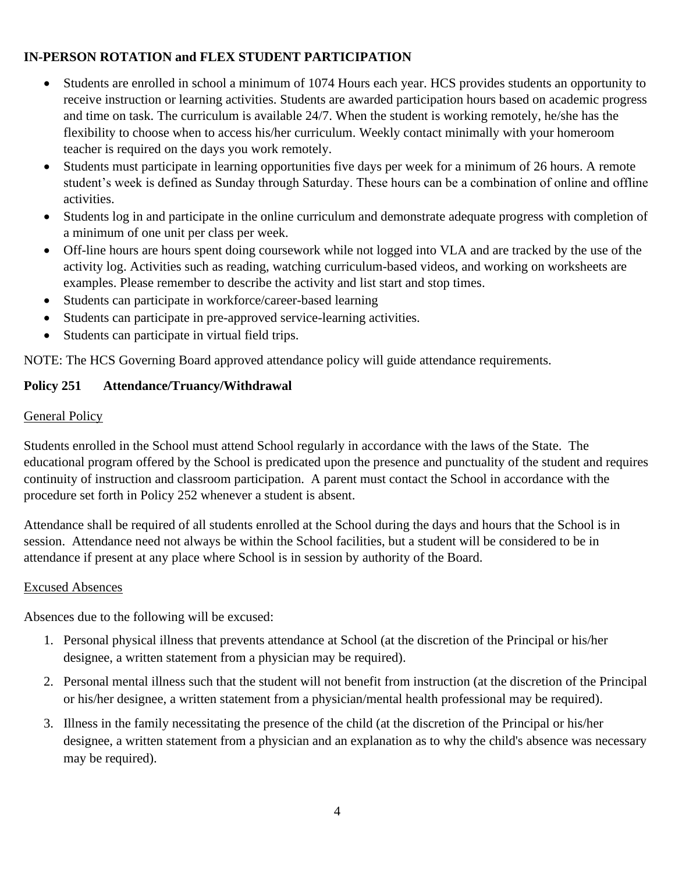# **IN-PERSON ROTATION and FLEX STUDENT PARTICIPATION**

- Students are enrolled in school a minimum of 1074 Hours each year. HCS provides students an opportunity to receive instruction or learning activities. Students are awarded participation hours based on academic progress and time on task. The curriculum is available 24/7. When the student is working remotely, he/she has the flexibility to choose when to access his/her curriculum. Weekly contact minimally with your homeroom teacher is required on the days you work remotely.
- Students must participate in learning opportunities five days per week for a minimum of 26 hours. A remote student's week is defined as Sunday through Saturday. These hours can be a combination of online and offline activities.
- Students log in and participate in the online curriculum and demonstrate adequate progress with completion of a minimum of one unit per class per week.
- Off-line hours are hours spent doing coursework while not logged into VLA and are tracked by the use of the activity log. Activities such as reading, watching curriculum-based videos, and working on worksheets are examples. Please remember to describe the activity and list start and stop times.
- Students can participate in workforce/career-based learning
- Students can participate in pre-approved service-learning activities.
- Students can participate in virtual field trips.

NOTE: The HCS Governing Board approved attendance policy will guide attendance requirements.

# **Policy 251 Attendance/Truancy/Withdrawal**

# General Policy

Students enrolled in the School must attend School regularly in accordance with the laws of the State. The educational program offered by the School is predicated upon the presence and punctuality of the student and requires continuity of instruction and classroom participation. A parent must contact the School in accordance with the procedure set forth in Policy 252 whenever a student is absent.

Attendance shall be required of all students enrolled at the School during the days and hours that the School is in session. Attendance need not always be within the School facilities, but a student will be considered to be in attendance if present at any place where School is in session by authority of the Board.

# Excused Absences

Absences due to the following will be excused:

- 1. Personal physical illness that prevents attendance at School (at the discretion of the Principal or his/her designee, a written statement from a physician may be required).
- 2. Personal mental illness such that the student will not benefit from instruction (at the discretion of the Principal or his/her designee, a written statement from a physician/mental health professional may be required).
- 3. Illness in the family necessitating the presence of the child (at the discretion of the Principal or his/her designee, a written statement from a physician and an explanation as to why the child's absence was necessary may be required).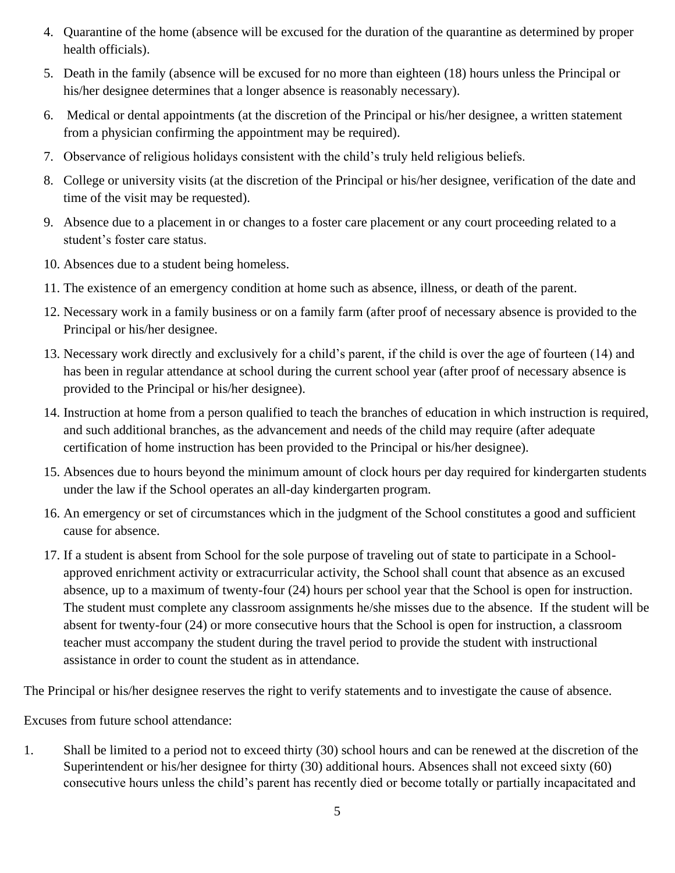- 4. Quarantine of the home (absence will be excused for the duration of the quarantine as determined by proper health officials).
- 5. Death in the family (absence will be excused for no more than eighteen (18) hours unless the Principal or his/her designee determines that a longer absence is reasonably necessary).
- 6. Medical or dental appointments (at the discretion of the Principal or his/her designee, a written statement from a physician confirming the appointment may be required).
- 7. Observance of religious holidays consistent with the child's truly held religious beliefs.
- 8. College or university visits (at the discretion of the Principal or his/her designee, verification of the date and time of the visit may be requested).
- 9. Absence due to a placement in or changes to a foster care placement or any court proceeding related to a student's foster care status.
- 10. Absences due to a student being homeless.
- 11. The existence of an emergency condition at home such as absence, illness, or death of the parent.
- 12. Necessary work in a family business or on a family farm (after proof of necessary absence is provided to the Principal or his/her designee.
- 13. Necessary work directly and exclusively for a child's parent, if the child is over the age of fourteen (14) and has been in regular attendance at school during the current school year (after proof of necessary absence is provided to the Principal or his/her designee).
- 14. Instruction at home from a person qualified to teach the branches of education in which instruction is required, and such additional branches, as the advancement and needs of the child may require (after adequate certification of home instruction has been provided to the Principal or his/her designee).
- 15. Absences due to hours beyond the minimum amount of clock hours per day required for kindergarten students under the law if the School operates an all-day kindergarten program.
- 16. An emergency or set of circumstances which in the judgment of the School constitutes a good and sufficient cause for absence.
- 17. If a student is absent from School for the sole purpose of traveling out of state to participate in a Schoolapproved enrichment activity or extracurricular activity, the School shall count that absence as an excused absence, up to a maximum of twenty-four (24) hours per school year that the School is open for instruction. The student must complete any classroom assignments he/she misses due to the absence. If the student will be absent for twenty-four (24) or more consecutive hours that the School is open for instruction, a classroom teacher must accompany the student during the travel period to provide the student with instructional assistance in order to count the student as in attendance.

The Principal or his/her designee reserves the right to verify statements and to investigate the cause of absence.

Excuses from future school attendance:

1. Shall be limited to a period not to exceed thirty (30) school hours and can be renewed at the discretion of the Superintendent or his/her designee for thirty (30) additional hours. Absences shall not exceed sixty (60) consecutive hours unless the child's parent has recently died or become totally or partially incapacitated and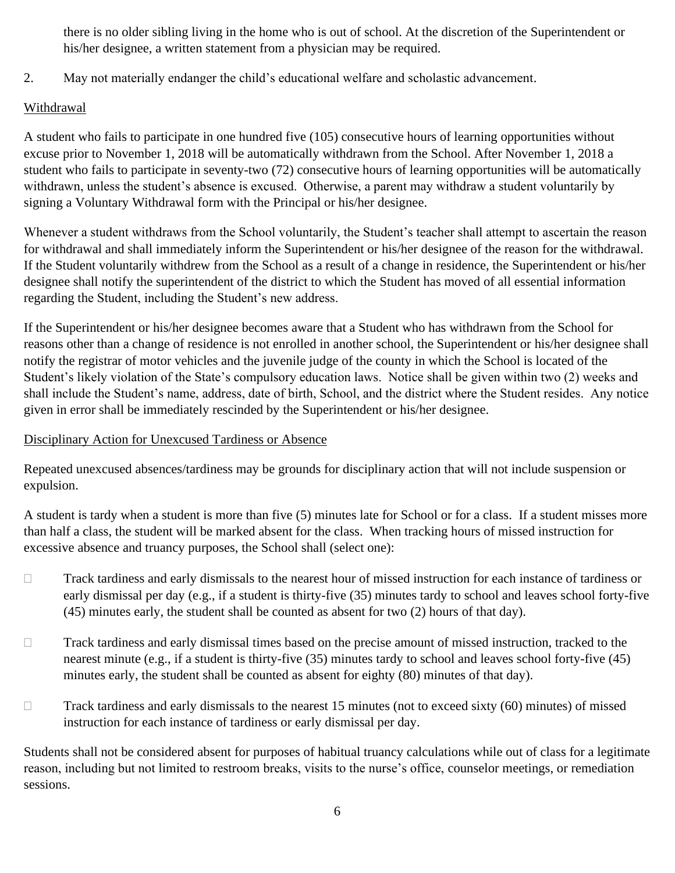there is no older sibling living in the home who is out of school. At the discretion of the Superintendent or his/her designee, a written statement from a physician may be required.

2. May not materially endanger the child's educational welfare and scholastic advancement.

# Withdrawal

A student who fails to participate in one hundred five (105) consecutive hours of learning opportunities without excuse prior to November 1, 2018 will be automatically withdrawn from the School. After November 1, 2018 a student who fails to participate in seventy-two (72) consecutive hours of learning opportunities will be automatically withdrawn, unless the student's absence is excused. Otherwise, a parent may withdraw a student voluntarily by signing a Voluntary Withdrawal form with the Principal or his/her designee.

Whenever a student withdraws from the School voluntarily, the Student's teacher shall attempt to ascertain the reason for withdrawal and shall immediately inform the Superintendent or his/her designee of the reason for the withdrawal. If the Student voluntarily withdrew from the School as a result of a change in residence, the Superintendent or his/her designee shall notify the superintendent of the district to which the Student has moved of all essential information regarding the Student, including the Student's new address.

If the Superintendent or his/her designee becomes aware that a Student who has withdrawn from the School for reasons other than a change of residence is not enrolled in another school, the Superintendent or his/her designee shall notify the registrar of motor vehicles and the juvenile judge of the county in which the School is located of the Student's likely violation of the State's compulsory education laws. Notice shall be given within two (2) weeks and shall include the Student's name, address, date of birth, School, and the district where the Student resides. Any notice given in error shall be immediately rescinded by the Superintendent or his/her designee.

# Disciplinary Action for Unexcused Tardiness or Absence

Repeated unexcused absences/tardiness may be grounds for disciplinary action that will not include suspension or expulsion.

A student is tardy when a student is more than five (5) minutes late for School or for a class. If a student misses more than half a class, the student will be marked absent for the class. When tracking hours of missed instruction for excessive absence and truancy purposes, the School shall (select one):

- Track tardiness and early dismissals to the nearest hour of missed instruction for each instance of tardiness or early dismissal per day (e.g., if a student is thirty-five (35) minutes tardy to school and leaves school forty-five (45) minutes early, the student shall be counted as absent for two (2) hours of that day).
- □ Track tardiness and early dismissal times based on the precise amount of missed instruction, tracked to the nearest minute (e.g., if a student is thirty-five (35) minutes tardy to school and leaves school forty-five (45) minutes early, the student shall be counted as absent for eighty (80) minutes of that day).
- $\Box$  Track tardiness and early dismissals to the nearest 15 minutes (not to exceed sixty (60) minutes) of missed instruction for each instance of tardiness or early dismissal per day.

Students shall not be considered absent for purposes of habitual truancy calculations while out of class for a legitimate reason, including but not limited to restroom breaks, visits to the nurse's office, counselor meetings, or remediation sessions.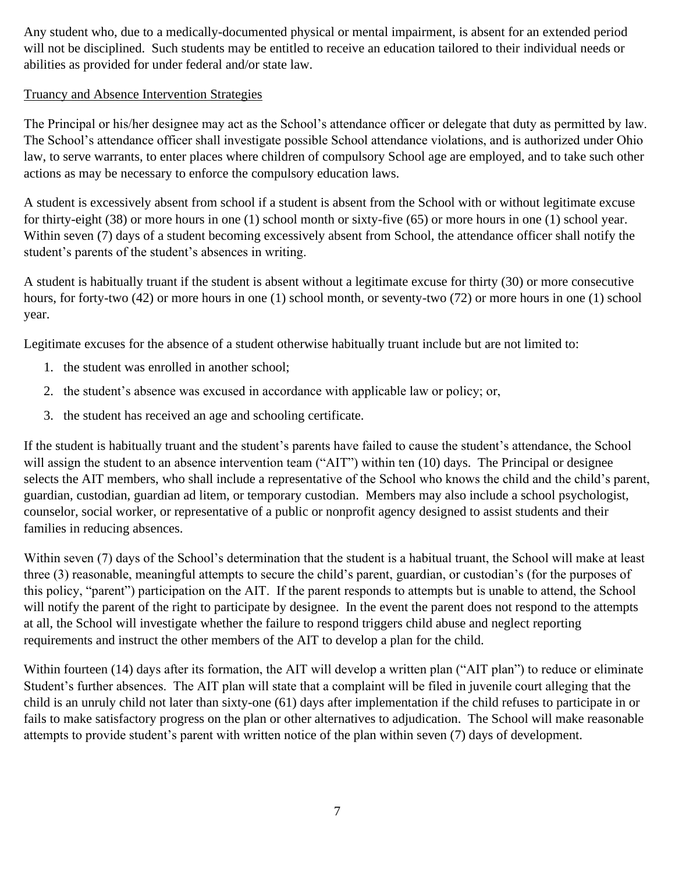Any student who, due to a medically-documented physical or mental impairment, is absent for an extended period will not be disciplined. Such students may be entitled to receive an education tailored to their individual needs or abilities as provided for under federal and/or state law.

### Truancy and Absence Intervention Strategies

The Principal or his/her designee may act as the School's attendance officer or delegate that duty as permitted by law. The School's attendance officer shall investigate possible School attendance violations, and is authorized under Ohio law, to serve warrants, to enter places where children of compulsory School age are employed, and to take such other actions as may be necessary to enforce the compulsory education laws.

A student is excessively absent from school if a student is absent from the School with or without legitimate excuse for thirty-eight (38) or more hours in one (1) school month or sixty-five (65) or more hours in one (1) school year. Within seven (7) days of a student becoming excessively absent from School, the attendance officer shall notify the student's parents of the student's absences in writing.

A student is habitually truant if the student is absent without a legitimate excuse for thirty (30) or more consecutive hours, for forty-two (42) or more hours in one (1) school month, or seventy-two (72) or more hours in one (1) school year.

Legitimate excuses for the absence of a student otherwise habitually truant include but are not limited to:

- 1. the student was enrolled in another school;
- 2. the student's absence was excused in accordance with applicable law or policy; or,
- 3. the student has received an age and schooling certificate.

If the student is habitually truant and the student's parents have failed to cause the student's attendance, the School will assign the student to an absence intervention team ("AIT") within ten (10) days. The Principal or designee selects the AIT members, who shall include a representative of the School who knows the child and the child's parent, guardian, custodian, guardian ad litem, or temporary custodian. Members may also include a school psychologist, counselor, social worker, or representative of a public or nonprofit agency designed to assist students and their families in reducing absences.

Within seven (7) days of the School's determination that the student is a habitual truant, the School will make at least three (3) reasonable, meaningful attempts to secure the child's parent, guardian, or custodian's (for the purposes of this policy, "parent") participation on the AIT. If the parent responds to attempts but is unable to attend, the School will notify the parent of the right to participate by designee. In the event the parent does not respond to the attempts at all, the School will investigate whether the failure to respond triggers child abuse and neglect reporting requirements and instruct the other members of the AIT to develop a plan for the child.

Within fourteen (14) days after its formation, the AIT will develop a written plan ("AIT plan") to reduce or eliminate Student's further absences. The AIT plan will state that a complaint will be filed in juvenile court alleging that the child is an unruly child not later than sixty-one (61) days after implementation if the child refuses to participate in or fails to make satisfactory progress on the plan or other alternatives to adjudication. The School will make reasonable attempts to provide student's parent with written notice of the plan within seven (7) days of development.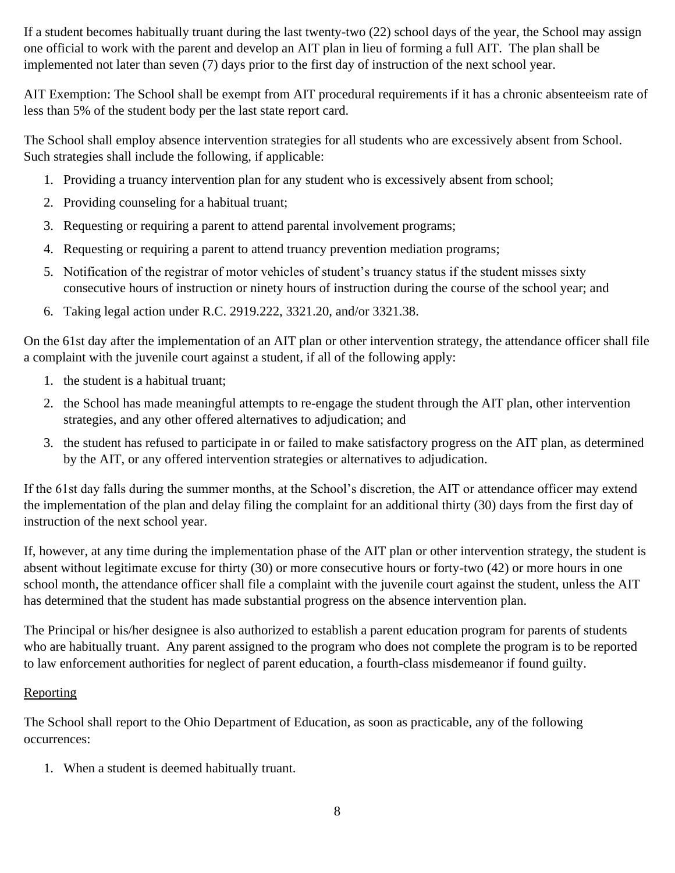If a student becomes habitually truant during the last twenty-two (22) school days of the year, the School may assign one official to work with the parent and develop an AIT plan in lieu of forming a full AIT. The plan shall be implemented not later than seven (7) days prior to the first day of instruction of the next school year.

AIT Exemption: The School shall be exempt from AIT procedural requirements if it has a chronic absenteeism rate of less than 5% of the student body per the last state report card.

The School shall employ absence intervention strategies for all students who are excessively absent from School. Such strategies shall include the following, if applicable:

- 1. Providing a truancy intervention plan for any student who is excessively absent from school;
- 2. Providing counseling for a habitual truant;
- 3. Requesting or requiring a parent to attend parental involvement programs;
- 4. Requesting or requiring a parent to attend truancy prevention mediation programs;
- 5. Notification of the registrar of motor vehicles of student's truancy status if the student misses sixty consecutive hours of instruction or ninety hours of instruction during the course of the school year; and
- 6. Taking legal action under R.C. 2919.222, 3321.20, and/or 3321.38.

On the 61st day after the implementation of an AIT plan or other intervention strategy, the attendance officer shall file a complaint with the juvenile court against a student, if all of the following apply:

- 1. the student is a habitual truant;
- 2. the School has made meaningful attempts to re-engage the student through the AIT plan, other intervention strategies, and any other offered alternatives to adjudication; and
- 3. the student has refused to participate in or failed to make satisfactory progress on the AIT plan, as determined by the AIT, or any offered intervention strategies or alternatives to adjudication.

If the 61st day falls during the summer months, at the School's discretion, the AIT or attendance officer may extend the implementation of the plan and delay filing the complaint for an additional thirty (30) days from the first day of instruction of the next school year.

If, however, at any time during the implementation phase of the AIT plan or other intervention strategy, the student is absent without legitimate excuse for thirty (30) or more consecutive hours or forty-two (42) or more hours in one school month, the attendance officer shall file a complaint with the juvenile court against the student, unless the AIT has determined that the student has made substantial progress on the absence intervention plan.

The Principal or his/her designee is also authorized to establish a parent education program for parents of students who are habitually truant. Any parent assigned to the program who does not complete the program is to be reported to law enforcement authorities for neglect of parent education, a fourth-class misdemeanor if found guilty.

### Reporting

The School shall report to the Ohio Department of Education, as soon as practicable, any of the following occurrences:

1. When a student is deemed habitually truant.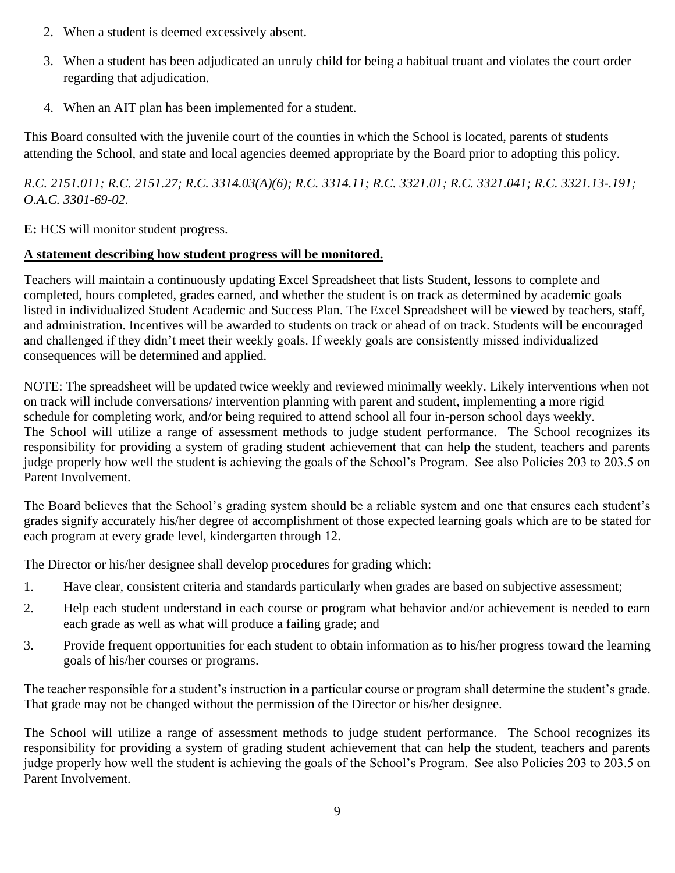- 2. When a student is deemed excessively absent.
- 3. When a student has been adjudicated an unruly child for being a habitual truant and violates the court order regarding that adjudication.
- 4. When an AIT plan has been implemented for a student.

This Board consulted with the juvenile court of the counties in which the School is located, parents of students attending the School, and state and local agencies deemed appropriate by the Board prior to adopting this policy.

*R.C. 2151.011; R.C. 2151.27; R.C. 3314.03(A)(6); R.C. 3314.11; R.C. 3321.01; R.C. 3321.041; R.C. 3321.13-.191; O.A.C. 3301-69-02.*

**E:** HCS will monitor student progress.

### **A statement describing how student progress will be monitored.**

Teachers will maintain a continuously updating Excel Spreadsheet that lists Student, lessons to complete and completed, hours completed, grades earned, and whether the student is on track as determined by academic goals listed in individualized Student Academic and Success Plan. The Excel Spreadsheet will be viewed by teachers, staff, and administration. Incentives will be awarded to students on track or ahead of on track. Students will be encouraged and challenged if they didn't meet their weekly goals. If weekly goals are consistently missed individualized consequences will be determined and applied.

NOTE: The spreadsheet will be updated twice weekly and reviewed minimally weekly. Likely interventions when not on track will include conversations/ intervention planning with parent and student, implementing a more rigid schedule for completing work, and/or being required to attend school all four in-person school days weekly. The School will utilize a range of assessment methods to judge student performance. The School recognizes its responsibility for providing a system of grading student achievement that can help the student, teachers and parents judge properly how well the student is achieving the goals of the School's Program. See also Policies 203 to 203.5 on Parent Involvement.

The Board believes that the School's grading system should be a reliable system and one that ensures each student's grades signify accurately his/her degree of accomplishment of those expected learning goals which are to be stated for each program at every grade level, kindergarten through 12.

The Director or his/her designee shall develop procedures for grading which:

- 1. Have clear, consistent criteria and standards particularly when grades are based on subjective assessment;
- 2. Help each student understand in each course or program what behavior and/or achievement is needed to earn each grade as well as what will produce a failing grade; and
- 3. Provide frequent opportunities for each student to obtain information as to his/her progress toward the learning goals of his/her courses or programs.

The teacher responsible for a student's instruction in a particular course or program shall determine the student's grade. That grade may not be changed without the permission of the Director or his/her designee.

The School will utilize a range of assessment methods to judge student performance. The School recognizes its responsibility for providing a system of grading student achievement that can help the student, teachers and parents judge properly how well the student is achieving the goals of the School's Program. See also Policies 203 to 203.5 on Parent Involvement.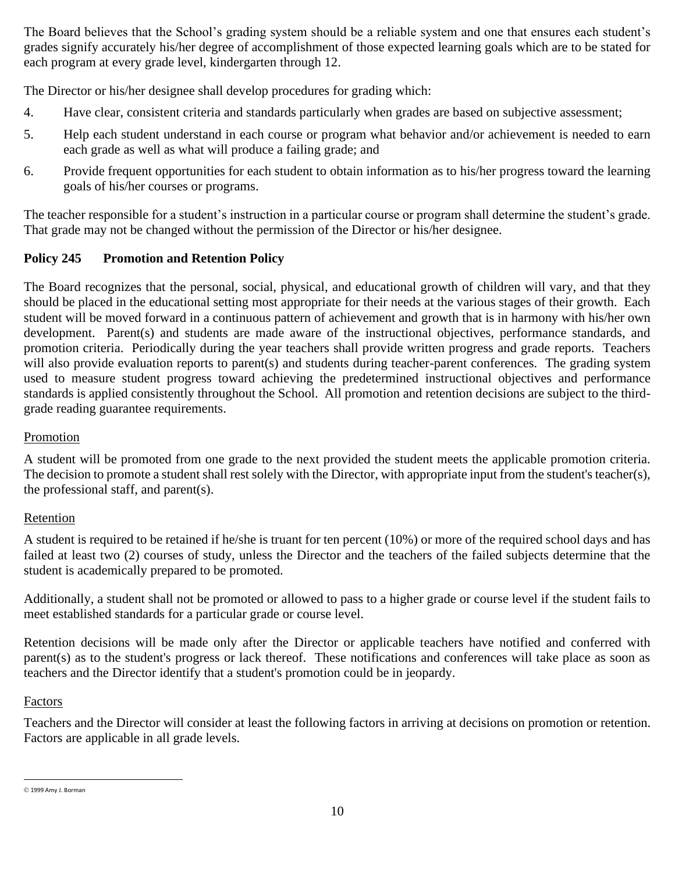The Board believes that the School's grading system should be a reliable system and one that ensures each student's grades signify accurately his/her degree of accomplishment of those expected learning goals which are to be stated for each program at every grade level, kindergarten through 12.

The Director or his/her designee shall develop procedures for grading which:

- 4. Have clear, consistent criteria and standards particularly when grades are based on subjective assessment;
- 5. Help each student understand in each course or program what behavior and/or achievement is needed to earn each grade as well as what will produce a failing grade; and
- 6. Provide frequent opportunities for each student to obtain information as to his/her progress toward the learning goals of his/her courses or programs.

The teacher responsible for a student's instruction in a particular course or program shall determine the student's grade. That grade may not be changed without the permission of the Director or his/her designee.

### **Policy 245 Promotion and Retention Policy**

The Board recognizes that the personal, social, physical, and educational growth of children will vary, and that they should be placed in the educational setting most appropriate for their needs at the various stages of their growth. Each student will be moved forward in a continuous pattern of achievement and growth that is in harmony with his/her own development. Parent(s) and students are made aware of the instructional objectives, performance standards, and promotion criteria. Periodically during the year teachers shall provide written progress and grade reports. Teachers will also provide evaluation reports to parent(s) and students during teacher-parent conferences. The grading system used to measure student progress toward achieving the predetermined instructional objectives and performance standards is applied consistently throughout the School. All promotion and retention decisions are subject to the thirdgrade reading guarantee requirements.

#### Promotion

A student will be promoted from one grade to the next provided the student meets the applicable promotion criteria. The decision to promote a student shall rest solely with the Director, with appropriate input from the student's teacher(s), the professional staff, and parent(s).

### Retention

A student is required to be retained if he/she is truant for ten percent (10%) or more of the required school days and has failed at least two (2) courses of study, unless the Director and the teachers of the failed subjects determine that the student is academically prepared to be promoted.

Additionally, a student shall not be promoted or allowed to pass to a higher grade or course level if the student fails to meet established standards for a particular grade or course level.

Retention decisions will be made only after the Director or applicable teachers have notified and conferred with parent(s) as to the student's progress or lack thereof. These notifications and conferences will take place as soon as teachers and the Director identify that a student's promotion could be in jeopardy.

#### Factors

Teachers and the Director will consider at least the following factors in arriving at decisions on promotion or retention. Factors are applicable in all grade levels.

<sup>©</sup> 1999 Amy J. Borman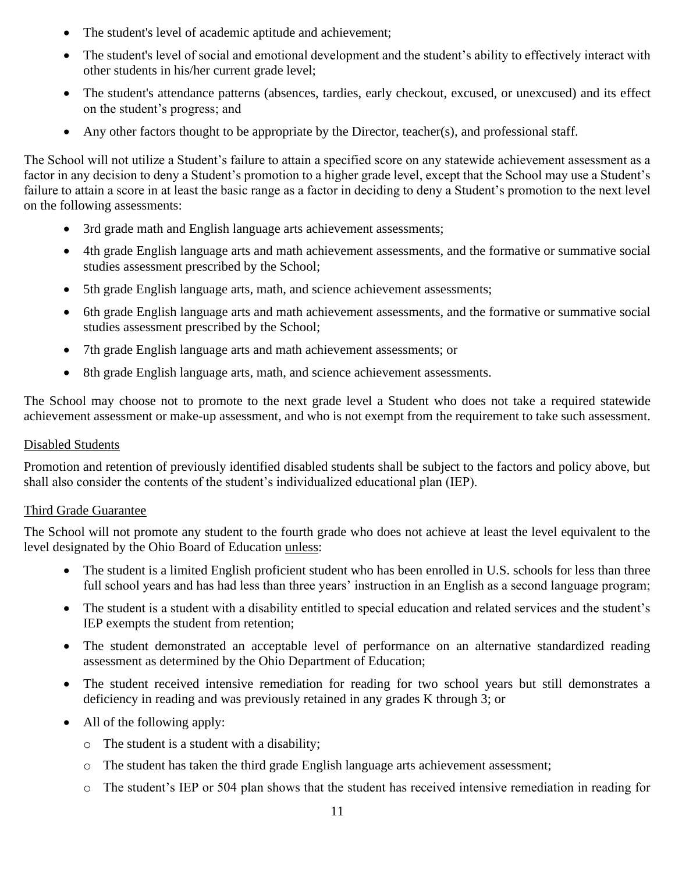- The student's level of academic aptitude and achievement;
- The student's level of social and emotional development and the student's ability to effectively interact with other students in his/her current grade level;
- The student's attendance patterns (absences, tardies, early checkout, excused, or unexcused) and its effect on the student's progress; and
- Any other factors thought to be appropriate by the Director, teacher(s), and professional staff.

The School will not utilize a Student's failure to attain a specified score on any statewide achievement assessment as a factor in any decision to deny a Student's promotion to a higher grade level, except that the School may use a Student's failure to attain a score in at least the basic range as a factor in deciding to deny a Student's promotion to the next level on the following assessments:

- 3rd grade math and English language arts achievement assessments;
- 4th grade English language arts and math achievement assessments, and the formative or summative social studies assessment prescribed by the School;
- 5th grade English language arts, math, and science achievement assessments;
- 6th grade English language arts and math achievement assessments, and the formative or summative social studies assessment prescribed by the School;
- 7th grade English language arts and math achievement assessments; or
- 8th grade English language arts, math, and science achievement assessments.

The School may choose not to promote to the next grade level a Student who does not take a required statewide achievement assessment or make-up assessment, and who is not exempt from the requirement to take such assessment.

### Disabled Students

Promotion and retention of previously identified disabled students shall be subject to the factors and policy above, but shall also consider the contents of the student's individualized educational plan (IEP).

### Third Grade Guarantee

The School will not promote any student to the fourth grade who does not achieve at least the level equivalent to the level designated by the Ohio Board of Education unless:

- The student is a limited English proficient student who has been enrolled in U.S. schools for less than three full school years and has had less than three years' instruction in an English as a second language program;
- The student is a student with a disability entitled to special education and related services and the student's IEP exempts the student from retention;
- The student demonstrated an acceptable level of performance on an alternative standardized reading assessment as determined by the Ohio Department of Education;
- The student received intensive remediation for reading for two school years but still demonstrates a deficiency in reading and was previously retained in any grades K through 3; or
- All of the following apply:
	- o The student is a student with a disability;
	- $\circ$  The student has taken the third grade English language arts achievement assessment;
	- o The student's IEP or 504 plan shows that the student has received intensive remediation in reading for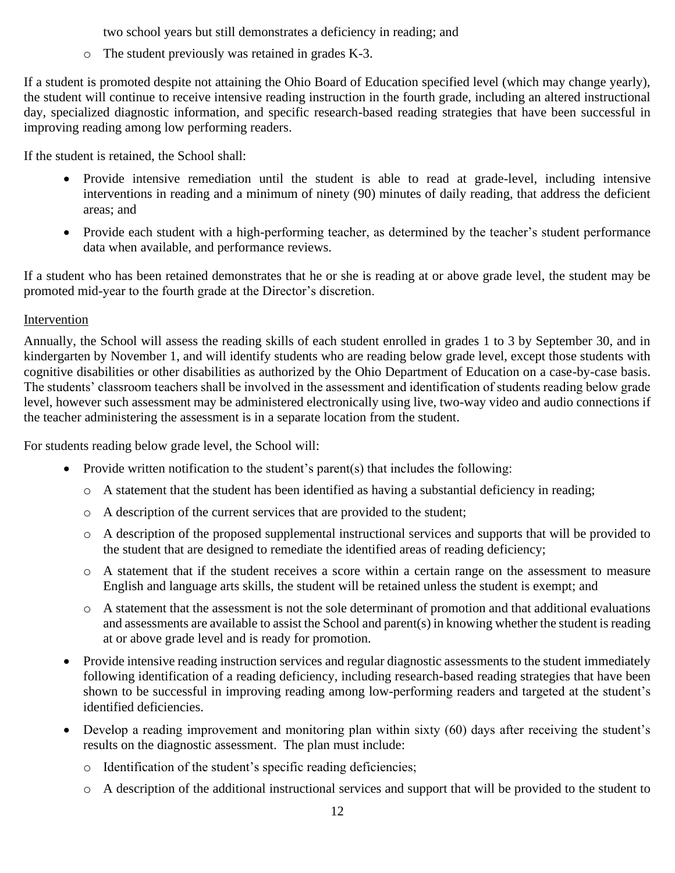two school years but still demonstrates a deficiency in reading; and

o The student previously was retained in grades K-3.

If a student is promoted despite not attaining the Ohio Board of Education specified level (which may change yearly), the student will continue to receive intensive reading instruction in the fourth grade, including an altered instructional day, specialized diagnostic information, and specific research-based reading strategies that have been successful in improving reading among low performing readers.

If the student is retained, the School shall:

- Provide intensive remediation until the student is able to read at grade-level, including intensive interventions in reading and a minimum of ninety (90) minutes of daily reading, that address the deficient areas; and
- Provide each student with a high-performing teacher, as determined by the teacher's student performance data when available, and performance reviews.

If a student who has been retained demonstrates that he or she is reading at or above grade level, the student may be promoted mid-year to the fourth grade at the Director's discretion.

### Intervention

Annually, the School will assess the reading skills of each student enrolled in grades 1 to 3 by September 30, and in kindergarten by November 1, and will identify students who are reading below grade level, except those students with cognitive disabilities or other disabilities as authorized by the Ohio Department of Education on a case-by-case basis. The students' classroom teachers shall be involved in the assessment and identification of students reading below grade level, however such assessment may be administered electronically using live, two-way video and audio connections if the teacher administering the assessment is in a separate location from the student.

For students reading below grade level, the School will:

- Provide written notification to the student's parent(s) that includes the following:
	- o A statement that the student has been identified as having a substantial deficiency in reading;
	- o A description of the current services that are provided to the student;
	- o A description of the proposed supplemental instructional services and supports that will be provided to the student that are designed to remediate the identified areas of reading deficiency;
	- o A statement that if the student receives a score within a certain range on the assessment to measure English and language arts skills, the student will be retained unless the student is exempt; and
	- o A statement that the assessment is not the sole determinant of promotion and that additional evaluations and assessments are available to assist the School and parent(s) in knowing whether the student is reading at or above grade level and is ready for promotion.
- Provide intensive reading instruction services and regular diagnostic assessments to the student immediately following identification of a reading deficiency, including research-based reading strategies that have been shown to be successful in improving reading among low-performing readers and targeted at the student's identified deficiencies.
- Develop a reading improvement and monitoring plan within sixty (60) days after receiving the student's results on the diagnostic assessment. The plan must include:
	- o Identification of the student's specific reading deficiencies;
	- o A description of the additional instructional services and support that will be provided to the student to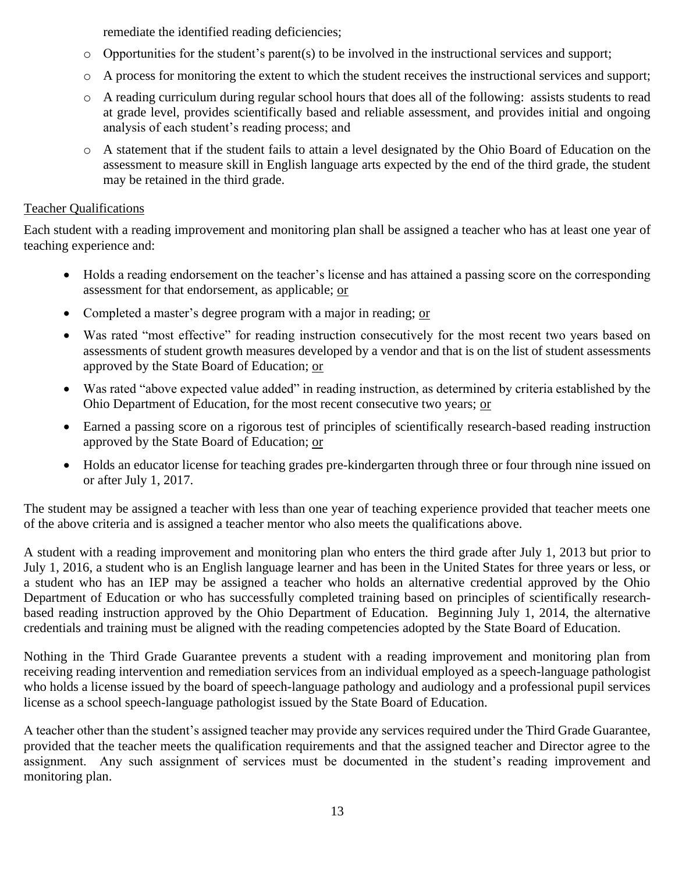remediate the identified reading deficiencies;

- o Opportunities for the student's parent(s) to be involved in the instructional services and support;
- o A process for monitoring the extent to which the student receives the instructional services and support;
- o A reading curriculum during regular school hours that does all of the following: assists students to read at grade level, provides scientifically based and reliable assessment, and provides initial and ongoing analysis of each student's reading process; and
- o A statement that if the student fails to attain a level designated by the Ohio Board of Education on the assessment to measure skill in English language arts expected by the end of the third grade, the student may be retained in the third grade.

### Teacher Qualifications

Each student with a reading improvement and monitoring plan shall be assigned a teacher who has at least one year of teaching experience and:

- Holds a reading endorsement on the teacher's license and has attained a passing score on the corresponding assessment for that endorsement, as applicable; or
- Completed a master's degree program with a major in reading; or
- Was rated "most effective" for reading instruction consecutively for the most recent two years based on assessments of student growth measures developed by a vendor and that is on the list of student assessments approved by the State Board of Education; or
- Was rated "above expected value added" in reading instruction, as determined by criteria established by the Ohio Department of Education, for the most recent consecutive two years; or
- Earned a passing score on a rigorous test of principles of scientifically research-based reading instruction approved by the State Board of Education; or
- Holds an educator license for teaching grades pre-kindergarten through three or four through nine issued on or after July 1, 2017.

The student may be assigned a teacher with less than one year of teaching experience provided that teacher meets one of the above criteria and is assigned a teacher mentor who also meets the qualifications above.

A student with a reading improvement and monitoring plan who enters the third grade after July 1, 2013 but prior to July 1, 2016, a student who is an English language learner and has been in the United States for three years or less, or a student who has an IEP may be assigned a teacher who holds an alternative credential approved by the Ohio Department of Education or who has successfully completed training based on principles of scientifically researchbased reading instruction approved by the Ohio Department of Education. Beginning July 1, 2014, the alternative credentials and training must be aligned with the reading competencies adopted by the State Board of Education.

Nothing in the Third Grade Guarantee prevents a student with a reading improvement and monitoring plan from receiving reading intervention and remediation services from an individual employed as a speech-language pathologist who holds a license issued by the board of speech-language pathology and audiology and a professional pupil services license as a school speech-language pathologist issued by the State Board of Education.

A teacher other than the student's assigned teacher may provide any services required under the Third Grade Guarantee, provided that the teacher meets the qualification requirements and that the assigned teacher and Director agree to the assignment. Any such assignment of services must be documented in the student's reading improvement and monitoring plan.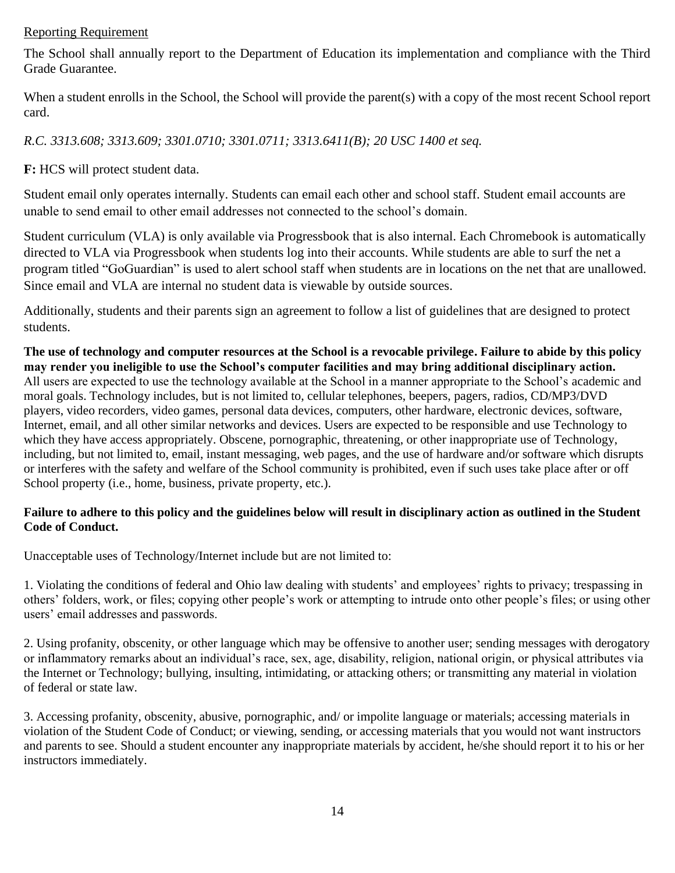#### Reporting Requirement

The School shall annually report to the Department of Education its implementation and compliance with the Third Grade Guarantee.

When a student enrolls in the School, the School will provide the parent(s) with a copy of the most recent School report card.

*R.C. 3313.608; 3313.609; 3301.0710; 3301.0711; 3313.6411(B); 20 USC 1400 et seq.*

**F:** HCS will protect student data.

Student email only operates internally. Students can email each other and school staff. Student email accounts are unable to send email to other email addresses not connected to the school's domain.

Student curriculum (VLA) is only available via Progressbook that is also internal. Each Chromebook is automatically directed to VLA via Progressbook when students log into their accounts. While students are able to surf the net a program titled "GoGuardian" is used to alert school staff when students are in locations on the net that are unallowed. Since email and VLA are internal no student data is viewable by outside sources.

Additionally, students and their parents sign an agreement to follow a list of guidelines that are designed to protect students.

**The use of technology and computer resources at the School is a revocable privilege. Failure to abide by this policy may render you ineligible to use the School's computer facilities and may bring additional disciplinary action.**  All users are expected to use the technology available at the School in a manner appropriate to the School's academic and moral goals. Technology includes, but is not limited to, cellular telephones, beepers, pagers, radios, CD/MP3/DVD players, video recorders, video games, personal data devices, computers, other hardware, electronic devices, software, Internet, email, and all other similar networks and devices. Users are expected to be responsible and use Technology to which they have access appropriately. Obscene, pornographic, threatening, or other inappropriate use of Technology, including, but not limited to, email, instant messaging, web pages, and the use of hardware and/or software which disrupts or interferes with the safety and welfare of the School community is prohibited, even if such uses take place after or off School property (i.e., home, business, private property, etc.).

#### **Failure to adhere to this policy and the guidelines below will result in disciplinary action as outlined in the Student Code of Conduct.**

Unacceptable uses of Technology/Internet include but are not limited to:

1. Violating the conditions of federal and Ohio law dealing with students' and employees' rights to privacy; trespassing in others' folders, work, or files; copying other people's work or attempting to intrude onto other people's files; or using other users' email addresses and passwords.

2. Using profanity, obscenity, or other language which may be offensive to another user; sending messages with derogatory or inflammatory remarks about an individual's race, sex, age, disability, religion, national origin, or physical attributes via the Internet or Technology; bullying, insulting, intimidating, or attacking others; or transmitting any material in violation of federal or state law.

3. Accessing profanity, obscenity, abusive, pornographic, and/ or impolite language or materials; accessing materials in violation of the Student Code of Conduct; or viewing, sending, or accessing materials that you would not want instructors and parents to see. Should a student encounter any inappropriate materials by accident, he/she should report it to his or her instructors immediately.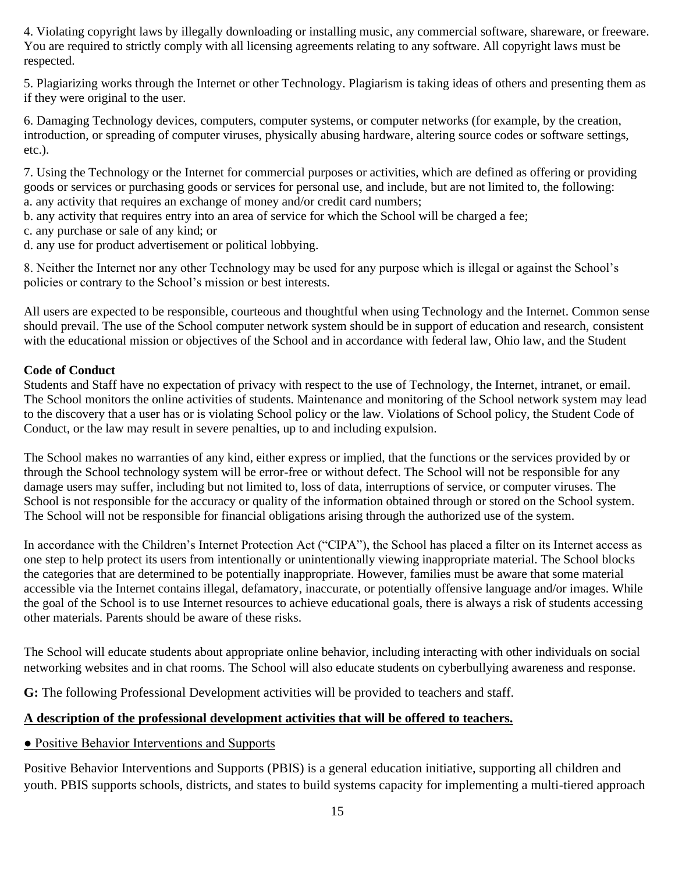4. Violating copyright laws by illegally downloading or installing music, any commercial software, shareware, or freeware. You are required to strictly comply with all licensing agreements relating to any software. All copyright laws must be respected.

5. Plagiarizing works through the Internet or other Technology. Plagiarism is taking ideas of others and presenting them as if they were original to the user.

6. Damaging Technology devices, computers, computer systems, or computer networks (for example, by the creation, introduction, or spreading of computer viruses, physically abusing hardware, altering source codes or software settings, etc.).

7. Using the Technology or the Internet for commercial purposes or activities, which are defined as offering or providing goods or services or purchasing goods or services for personal use, and include, but are not limited to, the following: a. any activity that requires an exchange of money and/or credit card numbers;

- b. any activity that requires entry into an area of service for which the School will be charged a fee;
- c. any purchase or sale of any kind; or
- d. any use for product advertisement or political lobbying.

8. Neither the Internet nor any other Technology may be used for any purpose which is illegal or against the School's policies or contrary to the School's mission or best interests.

All users are expected to be responsible, courteous and thoughtful when using Technology and the Internet. Common sense should prevail. The use of the School computer network system should be in support of education and research, consistent with the educational mission or objectives of the School and in accordance with federal law, Ohio law, and the Student

#### **Code of Conduct**

Students and Staff have no expectation of privacy with respect to the use of Technology, the Internet, intranet, or email. The School monitors the online activities of students. Maintenance and monitoring of the School network system may lead to the discovery that a user has or is violating School policy or the law. Violations of School policy, the Student Code of Conduct, or the law may result in severe penalties, up to and including expulsion.

The School makes no warranties of any kind, either express or implied, that the functions or the services provided by or through the School technology system will be error-free or without defect. The School will not be responsible for any damage users may suffer, including but not limited to, loss of data, interruptions of service, or computer viruses. The School is not responsible for the accuracy or quality of the information obtained through or stored on the School system. The School will not be responsible for financial obligations arising through the authorized use of the system.

In accordance with the Children's Internet Protection Act ("CIPA"), the School has placed a filter on its Internet access as one step to help protect its users from intentionally or unintentionally viewing inappropriate material. The School blocks the categories that are determined to be potentially inappropriate. However, families must be aware that some material accessible via the Internet contains illegal, defamatory, inaccurate, or potentially offensive language and/or images. While the goal of the School is to use Internet resources to achieve educational goals, there is always a risk of students accessing other materials. Parents should be aware of these risks.

The School will educate students about appropriate online behavior, including interacting with other individuals on social networking websites and in chat rooms. The School will also educate students on cyberbullying awareness and response.

**G:** The following Professional Development activities will be provided to teachers and staff.

### **A description of the professional development activities that will be offered to teachers.**

#### • Positive Behavior Interventions and Supports

Positive Behavior Interventions and Supports (PBIS) is a general education initiative, supporting all children and youth. PBIS supports schools, districts, and states to build systems capacity for implementing a multi-tiered approach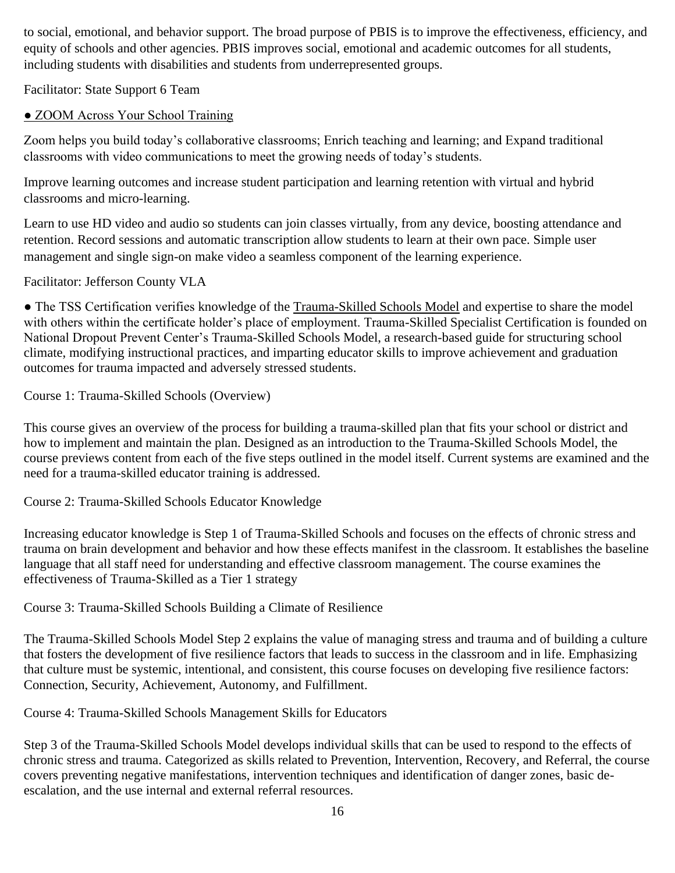to social, emotional, and behavior support. The broad purpose of PBIS is to improve the effectiveness, efficiency, and equity of schools and other agencies. PBIS improves social, emotional and academic outcomes for all students, including students with disabilities and students from underrepresented groups.

Facilitator: State Support 6 Team

# • ZOOM Across Your School Training

Zoom helps you build today's collaborative classrooms; Enrich teaching and learning; and Expand traditional classrooms with video communications to meet the growing needs of today's students.

Improve learning outcomes and increase student participation and learning retention with virtual and hybrid classrooms and micro-learning.

Learn to use HD video and audio so students can join classes virtually, from any device, boosting attendance and retention. Record sessions and automatic transcription allow students to learn at their own pace. Simple user management and single sign-on make video a seamless component of the learning experience.

Facilitator: Jefferson County VLA

● The TSS Certification verifies knowledge of the Trauma-Skilled Schools Model and expertise to share the model with others within the certificate holder's place of employment. Trauma-Skilled Specialist Certification is founded on National Dropout Prevent Center's Trauma-Skilled Schools Model, a research-based guide for structuring school climate, modifying instructional practices, and imparting educ[ator skills to improve achievement and graduation](https://learn.spnetwork.org/products/course-1-trauma-skilled-schools-overview)  outcomes for trauma impacted and adversely stressed students.

[Course 1: Trauma-Skilled Schools \(Overview\)](https://learn.spnetwork.org/products/course-1-trauma-skilled-schools-overview)

This course gives an overview of the process for building a trauma-skilled plan that fits your school or district and how to implement and maintain the plan. Designed as an introduction to the Trauma-Skilled Schools Model, the course previews content from each of the five steps outlined in the model itself. Current systems are examined and the need for a trauma-skilled educator training is addressed[.](https://learn.spnetwork.org/products/course-2-trauma-skilled-schools-educator-knowledge)

[Course 2: Trauma-Skilled Schools Educator Knowledge](https://learn.spnetwork.org/products/course-2-trauma-skilled-schools-educator-knowledge)

Increasing educator knowledge is Step 1 of Trauma-Skilled Schools and focuses on the effects of chronic stress and trauma on brain development and behavior and how these effects manifest in the classroom. It establishes the baseline language that all staff need for understanding and effective classroom management. The course examines the effectiveness of Trauma-Skilled as a Tier 1 strateg[y](https://learn.spnetwork.org/products/course-3-trauma-skilled-schools-building-a-climate-of-resilience)

# [Course 3: Trauma-Skilled Schools Building a Climate of Resilience](https://learn.spnetwork.org/products/course-3-trauma-skilled-schools-building-a-climate-of-resilience)

The Trauma-Skilled Schools Model Step 2 explains the value of managing stress and trauma and of building a culture that fosters the development of five resilience factors that leads to success in the classroom and in life. Emphasizing that culture must be systemic, intentional, and consistent, this course focuses on developing five resilience factors: Connection, Security, Achievement, Autonomy, and Fulfillment[.](https://learn.spnetwork.org/products/course-4-trauma-skilled-schools-management-skills-for-educators)

[Course 4: Trauma-Skilled Schools Management Skills for Educators](https://learn.spnetwork.org/products/course-4-trauma-skilled-schools-management-skills-for-educators)

Step 3 of the Trauma-Skilled Schools Model develops individual skills that can be used to respond to the effects of chronic stress and trauma. Categorized as skills related to Prevention, Intervention, Recovery, and Referral, the course covers preventing negative manifestations, intervention techniques and identification of danger zones, basic deescalation, and the use internal and external referral resources.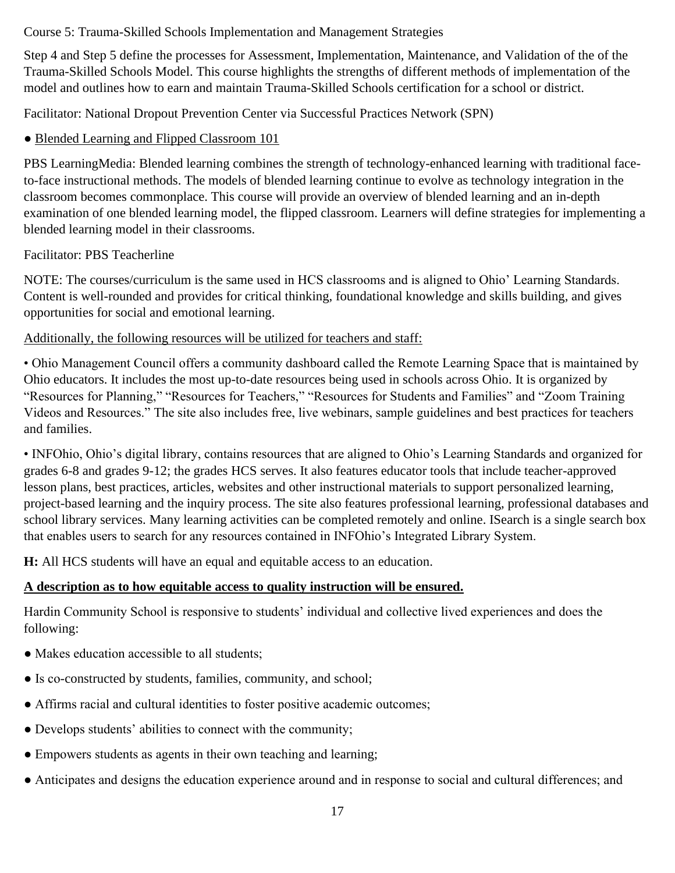### Course 5: Trauma-Skilled Schools Implementation and Management Strategies

Step 4 and Step 5 define the processes for Assessment, Implementation, Maintenance, and Validation of the of the Trauma-Skilled Schools Model. This course highlights the strengths of different methods of implementation of the model and outlines how to earn and maintain Trauma-Skilled Schools certification for a school or district.

Facilitator: National Dropout Prevention Center via Successful Practices Network (SPN)

# • Blended Learning and Flipped Classroom 101

PBS LearningMedia: Blended learning combines the strength of technology-enhanced learning with traditional faceto-face instructional methods. The models of blended learning continue to evolve as technology integration in the classroom becomes commonplace. This course will provide an overview of blended learning and an in-depth examination of one blended learning model, the flipped classroom. Learners will define strategies for implementing a blended learning model in their classrooms.

# Facilitator: PBS Teacherline

NOTE: The courses/curriculum is the same used in HCS classrooms and is aligned to Ohio' Learning Standards. Content is well-rounded and provides for critical thinking, foundational knowledge and skills building, and gives opportunities for social and emotional learning.

# Additionally, the following resources will be utilized for teachers and staff:

• Ohio Management Council offers a community dashboard called the Remote Learning Space that is maintained by Ohio educators. It includes the most up-to-date resources being used in schools across Ohio. It is organized by "Resources for Planning," "Resources for Teachers," "Resources for Students and Families" and "Zoom Training Videos and Resources." The site also includes free, live webinars, sample guidelines and best practices for teachers and families.

• INFOhio, Ohio's digital library, contains resources that are aligned to Ohio's Learning Standards and organized for grades 6-8 and grades 9-12; the grades HCS serves. It also features educator tools that include teacher-approved lesson plans, best practices, articles, websites and other instructional materials to support personalized learning, project-based learning and the inquiry process. The site also features professional learning, professional databases and school library services. Many learning activities can be completed remotely and online. ISearch is a single search box that enables users to search for any resources contained in INFOhio's Integrated Library System.

**H:** All HCS students will have an equal and equitable access to an education.

# **A description as to how equitable access to quality instruction will be ensured.**

Hardin Community School is responsive to students' individual and collective lived experiences and does the following:

- Makes education accessible to all students;
- Is co-constructed by students, families, community, and school;
- Affirms racial and cultural identities to foster positive academic outcomes;
- Develops students' abilities to connect with the community;
- Empowers students as agents in their own teaching and learning;
- Anticipates and designs the education experience around and in response to social and cultural differences; and